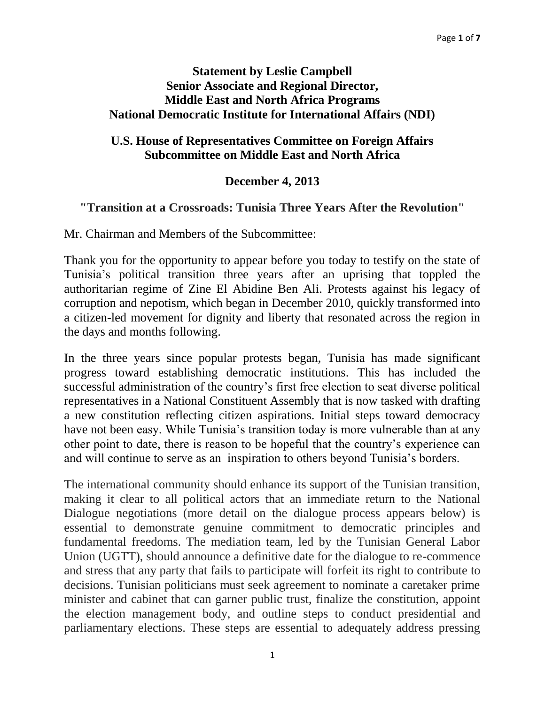## **Statement by Leslie Campbell Senior Associate and Regional Director, Middle East and North Africa Programs National Democratic Institute for International Affairs (NDI)**

## **U.S. House of Representatives Committee on Foreign Affairs Subcommittee on Middle East and North Africa**

## **December 4, 2013**

## **"Transition at a Crossroads: Tunisia Three Years After the Revolution"**

Mr. Chairman and Members of the Subcommittee:

Thank you for the opportunity to appear before you today to testify on the state of Tunisia's political transition three years after an uprising that toppled the authoritarian regime of Zine El Abidine Ben Ali. Protests against his legacy of corruption and nepotism, which began in December 2010, quickly transformed into a citizen-led movement for dignity and liberty that resonated across the region in the days and months following.

In the three years since popular protests began, Tunisia has made significant progress toward establishing democratic institutions. This has included the successful administration of the country's first free election to seat diverse political representatives in a National Constituent Assembly that is now tasked with drafting a new constitution reflecting citizen aspirations. Initial steps toward democracy have not been easy. While Tunisia's transition today is more vulnerable than at any other point to date, there is reason to be hopeful that the country's experience can and will continue to serve as an inspiration to others beyond Tunisia's borders.

The international community should enhance its support of the Tunisian transition, making it clear to all political actors that an immediate return to the National Dialogue negotiations (more detail on the dialogue process appears below) is essential to demonstrate genuine commitment to democratic principles and fundamental freedoms. The mediation team, led by the Tunisian General Labor Union (UGTT), should announce a definitive date for the dialogue to re-commence and stress that any party that fails to participate will forfeit its right to contribute to decisions. Tunisian politicians must seek agreement to nominate a caretaker prime minister and cabinet that can garner public trust, finalize the constitution, appoint the election management body, and outline steps to conduct presidential and parliamentary elections. These steps are essential to adequately address pressing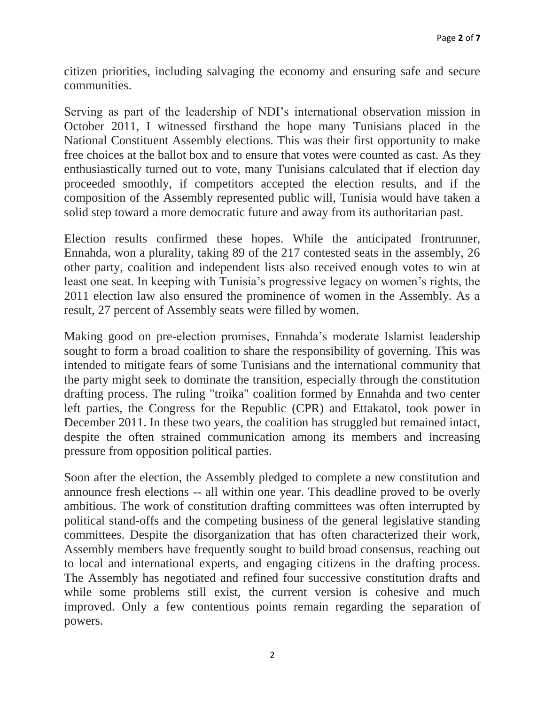citizen priorities, including salvaging the economy and ensuring safe and secure communities.

Serving as part of the leadership of NDI's international observation mission in October 2011, I witnessed firsthand the hope many Tunisians placed in the National Constituent Assembly elections. This was their first opportunity to make free choices at the ballot box and to ensure that votes were counted as cast. As they enthusiastically turned out to vote, many Tunisians calculated that if election day proceeded smoothly, if competitors accepted the election results, and if the composition of the Assembly represented public will, Tunisia would have taken a solid step toward a more democratic future and away from its authoritarian past.

Election results confirmed these hopes. While the anticipated frontrunner, Ennahda, won a plurality, taking 89 of the 217 contested seats in the assembly, 26 other party, coalition and independent lists also received enough votes to win at least one seat. In keeping with Tunisia's progressive legacy on women's rights, the 2011 election law also ensured the prominence of women in the Assembly. As a result, 27 percent of Assembly seats were filled by women.

Making good on pre-election promises, Ennahda's moderate Islamist leadership sought to form a broad coalition to share the responsibility of governing. This was intended to mitigate fears of some Tunisians and the international community that the party might seek to dominate the transition, especially through the constitution drafting process. The ruling "troika" coalition formed by Ennahda and two center left parties, the Congress for the Republic (CPR) and Ettakatol, took power in December 2011. In these two years, the coalition has struggled but remained intact, despite the often strained communication among its members and increasing pressure from opposition political parties.

Soon after the election, the Assembly pledged to complete a new constitution and announce fresh elections -- all within one year. This deadline proved to be overly ambitious. The work of constitution drafting committees was often interrupted by political stand-offs and the competing business of the general legislative standing committees. Despite the disorganization that has often characterized their work, Assembly members have frequently sought to build broad consensus, reaching out to local and international experts, and engaging citizens in the drafting process. The Assembly has negotiated and refined four successive constitution drafts and while some problems still exist, the current version is cohesive and much improved. Only a few contentious points remain regarding the separation of powers.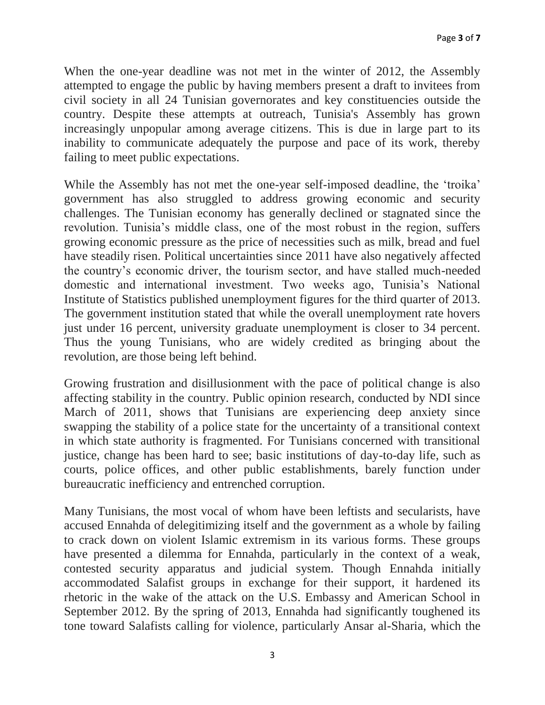When the one-year deadline was not met in the winter of 2012, the Assembly attempted to engage the public by having members present a draft to invitees from civil society in all 24 Tunisian governorates and key constituencies outside the country. Despite these attempts at outreach, Tunisia's Assembly has grown increasingly unpopular among average citizens. This is due in large part to its inability to communicate adequately the purpose and pace of its work, thereby failing to meet public expectations.

While the Assembly has not met the one-year self-imposed deadline, the 'troika' government has also struggled to address growing economic and security challenges. The Tunisian economy has generally declined or stagnated since the revolution. Tunisia's middle class, one of the most robust in the region, suffers growing economic pressure as the price of necessities such as milk, bread and fuel have steadily risen. Political uncertainties since 2011 have also negatively affected the country's economic driver, the tourism sector, and have stalled much-needed domestic and international investment. Two weeks ago, Tunisia's National Institute of Statistics published unemployment figures for the third quarter of 2013. The government institution stated that while the overall unemployment rate hovers just under 16 percent, university graduate unemployment is closer to 34 percent. Thus the young Tunisians, who are widely credited as bringing about the revolution, are those being left behind.

Growing frustration and disillusionment with the pace of political change is also affecting stability in the country. Public opinion research, conducted by NDI since March of 2011, shows that Tunisians are experiencing deep anxiety since swapping the stability of a police state for the uncertainty of a transitional context in which state authority is fragmented. For Tunisians concerned with transitional justice, change has been hard to see; basic institutions of day-to-day life, such as courts, police offices, and other public establishments, barely function under bureaucratic inefficiency and entrenched corruption.

Many Tunisians, the most vocal of whom have been leftists and secularists, have accused Ennahda of delegitimizing itself and the government as a whole by failing to crack down on violent Islamic extremism in its various forms. These groups have presented a dilemma for Ennahda, particularly in the context of a weak, contested security apparatus and judicial system. Though Ennahda initially accommodated Salafist groups in exchange for their support, it hardened its rhetoric in the wake of the attack on the U.S. Embassy and American School in September 2012. By the spring of 2013, Ennahda had significantly toughened its tone toward Salafists calling for violence, particularly Ansar al-Sharia, which the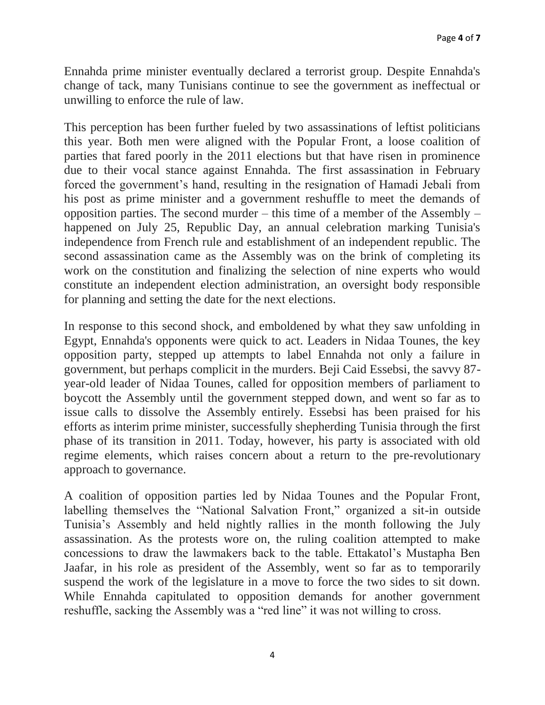Ennahda prime minister eventually declared a terrorist group. Despite Ennahda's change of tack, many Tunisians continue to see the government as ineffectual or unwilling to enforce the rule of law.

This perception has been further fueled by two assassinations of leftist politicians this year. Both men were aligned with the Popular Front, a loose coalition of parties that fared poorly in the 2011 elections but that have risen in prominence due to their vocal stance against Ennahda. The first assassination in February forced the government's hand, resulting in the resignation of Hamadi Jebali from his post as prime minister and a government reshuffle to meet the demands of opposition parties. The second murder – this time of a member of the Assembly – happened on July 25, Republic Day, an annual celebration marking Tunisia's independence from French rule and establishment of an independent republic. The second assassination came as the Assembly was on the brink of completing its work on the constitution and finalizing the selection of nine experts who would constitute an independent election administration, an oversight body responsible for planning and setting the date for the next elections.

In response to this second shock, and emboldened by what they saw unfolding in Egypt, Ennahda's opponents were quick to act. Leaders in Nidaa Tounes, the key opposition party, stepped up attempts to label Ennahda not only a failure in government, but perhaps complicit in the murders. Beji Caid Essebsi, the savvy 87 year-old leader of Nidaa Tounes, called for opposition members of parliament to boycott the Assembly until the government stepped down, and went so far as to issue calls to dissolve the Assembly entirely. Essebsi has been praised for his efforts as interim prime minister, successfully shepherding Tunisia through the first phase of its transition in 2011. Today, however, his party is associated with old regime elements, which raises concern about a return to the pre-revolutionary approach to governance.

A coalition of opposition parties led by Nidaa Tounes and the Popular Front, labelling themselves the "National Salvation Front," organized a sit-in outside Tunisia's Assembly and held nightly rallies in the month following the July assassination. As the protests wore on, the ruling coalition attempted to make concessions to draw the lawmakers back to the table. Ettakatol's Mustapha Ben Jaafar, in his role as president of the Assembly, went so far as to temporarily suspend the work of the legislature in a move to force the two sides to sit down. While Ennahda capitulated to opposition demands for another government reshuffle, sacking the Assembly was a "red line" it was not willing to cross.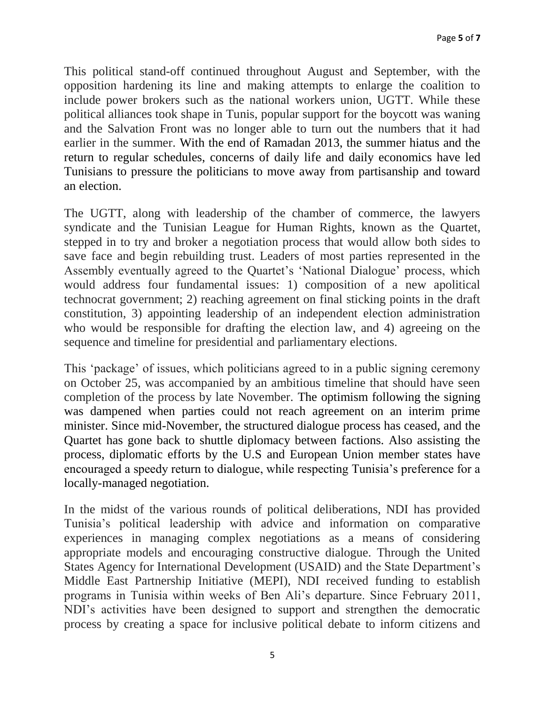This political stand-off continued throughout August and September, with the opposition hardening its line and making attempts to enlarge the coalition to include power brokers such as the national workers union, UGTT. While these political alliances took shape in Tunis, popular support for the boycott was waning and the Salvation Front was no longer able to turn out the numbers that it had earlier in the summer. With the end of Ramadan 2013, the summer hiatus and the return to regular schedules, concerns of daily life and daily economics have led Tunisians to pressure the politicians to move away from partisanship and toward an election.

The UGTT, along with leadership of the chamber of commerce, the lawyers syndicate and the Tunisian League for Human Rights, known as the Quartet, stepped in to try and broker a negotiation process that would allow both sides to save face and begin rebuilding trust. Leaders of most parties represented in the Assembly eventually agreed to the Quartet's 'National Dialogue' process, which would address four fundamental issues: 1) composition of a new apolitical technocrat government; 2) reaching agreement on final sticking points in the draft constitution, 3) appointing leadership of an independent election administration who would be responsible for drafting the election law, and 4) agreeing on the sequence and timeline for presidential and parliamentary elections.

This 'package' of issues, which politicians agreed to in a public signing ceremony on October 25, was accompanied by an ambitious timeline that should have seen completion of the process by late November. The optimism following the signing was dampened when parties could not reach agreement on an interim prime minister. Since mid-November, the structured dialogue process has ceased, and the Quartet has gone back to shuttle diplomacy between factions. Also assisting the process, diplomatic efforts by the U.S and European Union member states have encouraged a speedy return to dialogue, while respecting Tunisia's preference for a locally-managed negotiation.

In the midst of the various rounds of political deliberations, NDI has provided Tunisia's political leadership with advice and information on comparative experiences in managing complex negotiations as a means of considering appropriate models and encouraging constructive dialogue. Through the United States Agency for International Development (USAID) and the State Department's Middle East Partnership Initiative (MEPI), NDI received funding to establish programs in Tunisia within weeks of Ben Ali's departure. Since February 2011, NDI's activities have been designed to support and strengthen the democratic process by creating a space for inclusive political debate to inform citizens and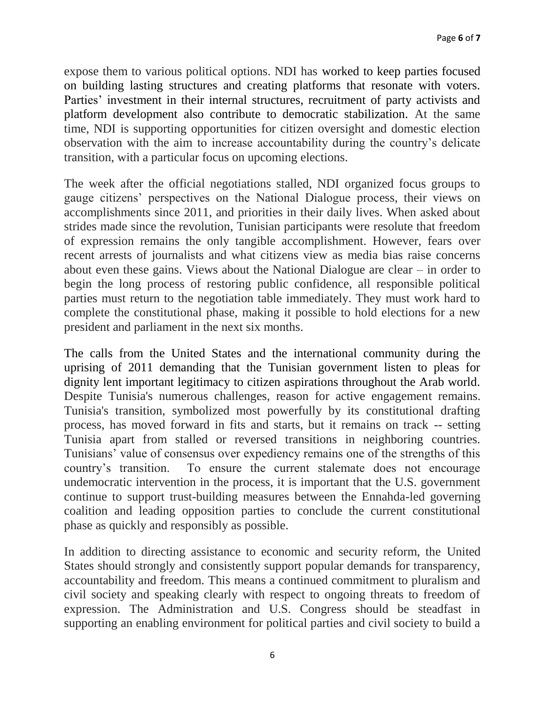expose them to various political options. NDI has worked to keep parties focused on building lasting structures and creating platforms that resonate with voters. Parties' investment in their internal structures, recruitment of party activists and platform development also contribute to democratic stabilization. At the same time, NDI is supporting opportunities for citizen oversight and domestic election observation with the aim to increase accountability during the country's delicate transition, with a particular focus on upcoming elections.

The week after the official negotiations stalled, NDI organized focus groups to gauge citizens' perspectives on the National Dialogue process, their views on accomplishments since 2011, and priorities in their daily lives. When asked about strides made since the revolution, Tunisian participants were resolute that freedom of expression remains the only tangible accomplishment. However, fears over recent arrests of journalists and what citizens view as media bias raise concerns about even these gains. Views about the National Dialogue are clear – in order to begin the long process of restoring public confidence, all responsible political parties must return to the negotiation table immediately. They must work hard to complete the constitutional phase, making it possible to hold elections for a new president and parliament in the next six months.

The calls from the United States and the international community during the uprising of 2011 demanding that the Tunisian government listen to pleas for dignity lent important legitimacy to citizen aspirations throughout the Arab world. Despite Tunisia's numerous challenges, reason for active engagement remains. Tunisia's transition, symbolized most powerfully by its constitutional drafting process, has moved forward in fits and starts, but it remains on track -- setting Tunisia apart from stalled or reversed transitions in neighboring countries. Tunisians' value of consensus over expediency remains one of the strengths of this country's transition. To ensure the current stalemate does not encourage undemocratic intervention in the process, it is important that the U.S. government continue to support trust-building measures between the Ennahda-led governing coalition and leading opposition parties to conclude the current constitutional phase as quickly and responsibly as possible.

In addition to directing assistance to economic and security reform, the United States should strongly and consistently support popular demands for transparency, accountability and freedom. This means a continued commitment to pluralism and civil society and speaking clearly with respect to ongoing threats to freedom of expression. The Administration and U.S. Congress should be steadfast in supporting an enabling environment for political parties and civil society to build a